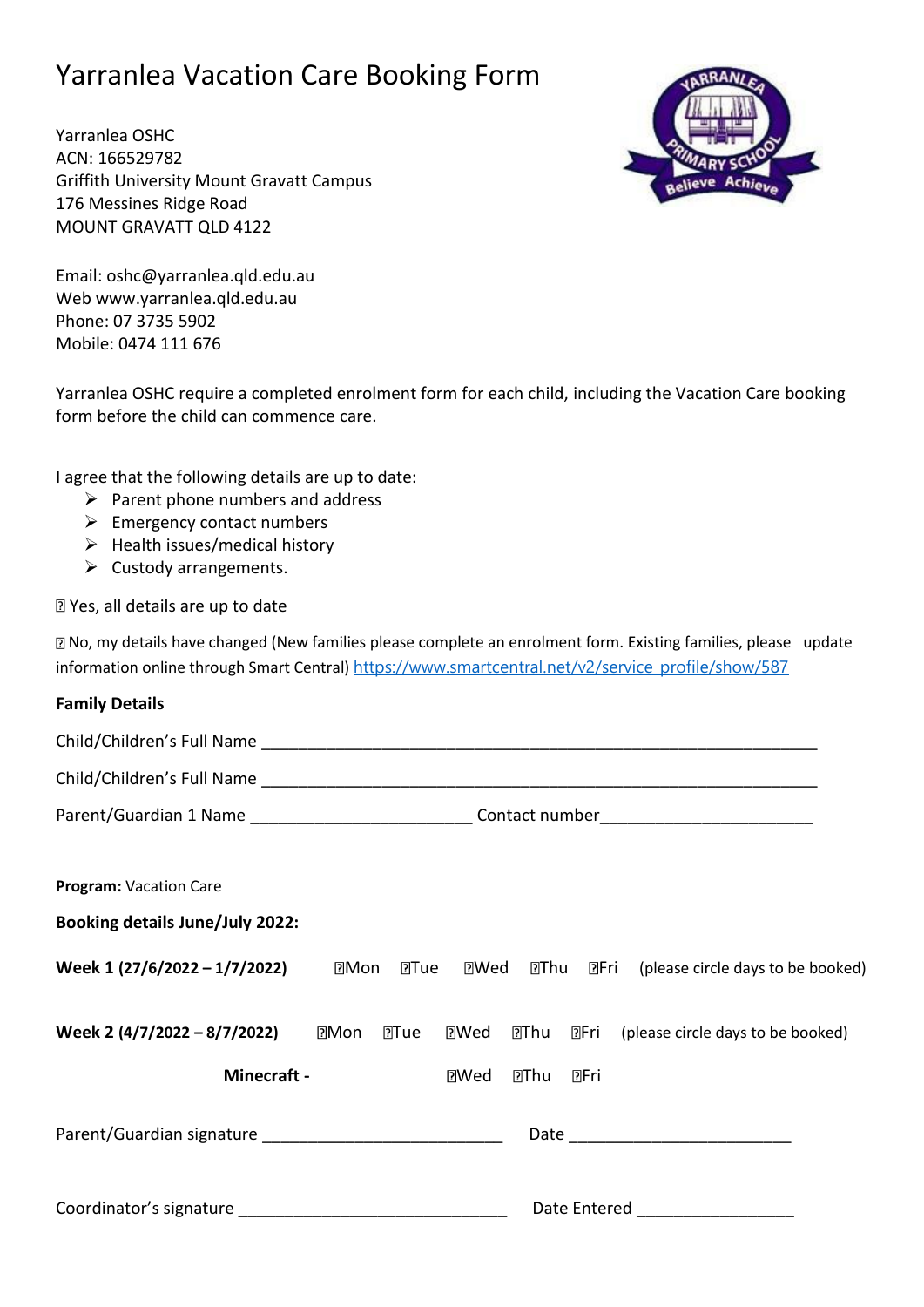## Yarranlea Vacation Care Booking Form

Yarranlea OSHC ACN: 166529782 Griffith University Mount Gravatt Campus 176 Messines Ridge Road MOUNT GRAVATT QLD 4122

Email: oshc@yarranlea.qld.edu.au Web www.yarranlea.qld.edu.au Phone: 07 3735 5902 Mobile: 0474 111 676

Yarranlea OSHC require a completed enrolment form for each child, including the Vacation Care booking form before the child can commence care.

I agree that the following details are up to date:

- $\triangleright$  Parent phone numbers and address
- ➢ Emergency contact numbers
- $\triangleright$  Health issues/medical history
- $\triangleright$  Custody arrangements.

Yes, all details are up to date

No, my details have changed (New families please complete an enrolment form. Existing families, please update information online through Smart Central) [https://www.smartcentral.net/v2/service\\_profile/show/587](https://www.smartcentral.net/v2/service_profile/show/587)

| <b>Family Details</b>                  |                                                                                                      |
|----------------------------------------|------------------------------------------------------------------------------------------------------|
|                                        |                                                                                                      |
|                                        |                                                                                                      |
|                                        | Parent/Guardian 1 Name ______________________________Contact number_________________________________ |
|                                        |                                                                                                      |
| Program: Vacation Care                 |                                                                                                      |
| <b>Booking details June/July 2022:</b> |                                                                                                      |
| Week 1 (27/6/2022 – 1/7/2022)          | <b>?Tue</b><br>.<br>?!Wed<br><b>27 Thu 27 Fri</b> (please circle days to be booked)<br>⊡Mon          |
| Week 2 (4/7/2022 - 8/7/2022)           | $M$ on<br>2Tue<br>.<br>20Wed<br><b>团Thu</b><br>⊡Fri<br>(please circle days to be booked)             |
| <b>Minecraft -</b>                     | <b>DFri</b><br><b>EWed</b><br>⊡Thu                                                                   |
|                                        |                                                                                                      |
|                                        | Date Entered __________________                                                                      |

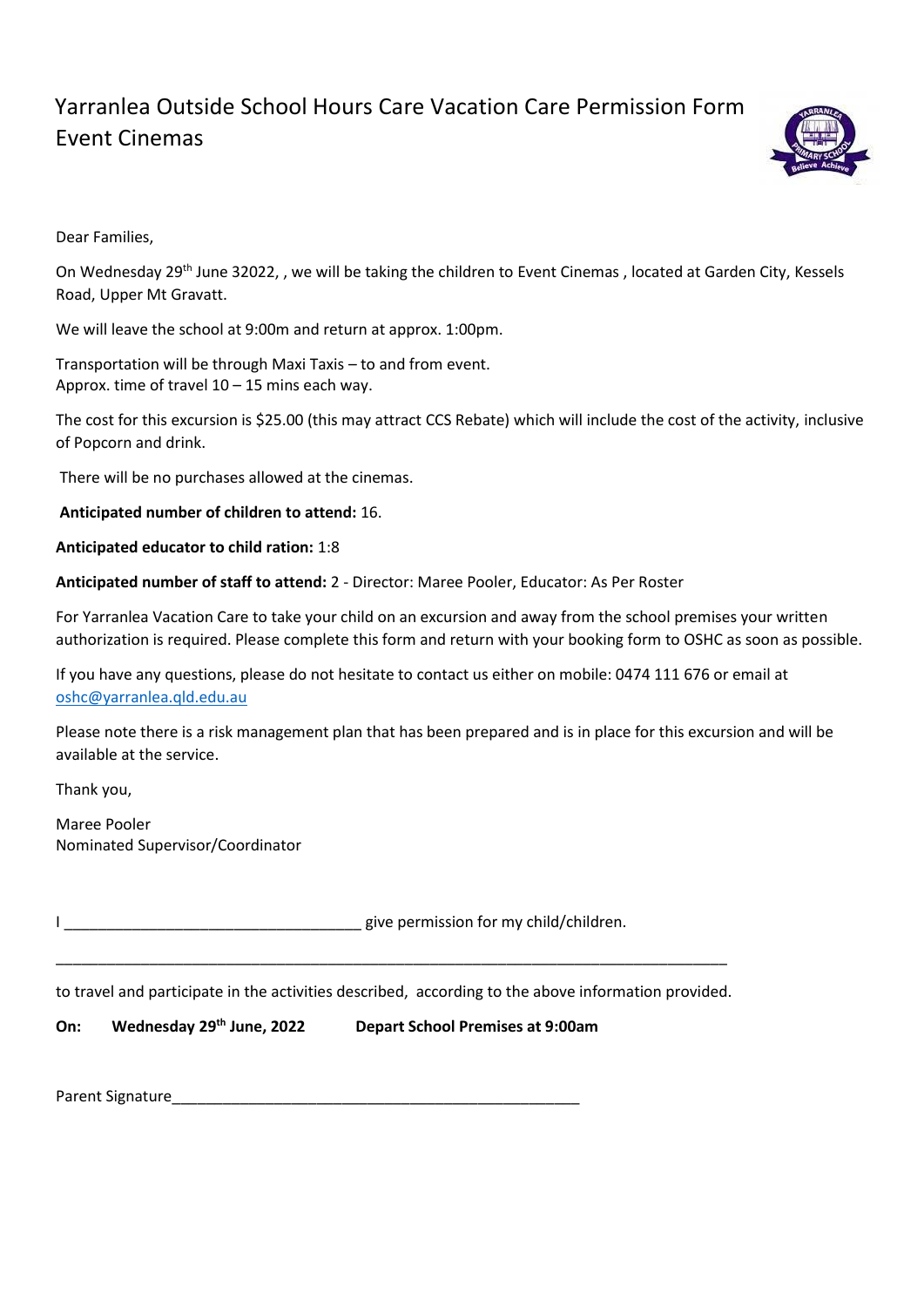## Yarranlea Outside School Hours Care Vacation Care Permission Form Event Cinemas



Dear Families,

On Wednesday 29<sup>th</sup> June 32022, , we will be taking the children to Event Cinemas, located at Garden City, Kessels Road, Upper Mt Gravatt.

We will leave the school at 9:00m and return at approx. 1:00pm.

Transportation will be through Maxi Taxis – to and from event. Approx. time of travel  $10 - 15$  mins each way.

The cost for this excursion is \$25.00 (this may attract CCS Rebate) which will include the cost of the activity, inclusive of Popcorn and drink.

There will be no purchases allowed at the cinemas.

**Anticipated number of children to attend:** 16.

**Anticipated educator to child ration:** 1:8

**Anticipated number of staff to attend:** 2 - Director: Maree Pooler, Educator: As Per Roster

For Yarranlea Vacation Care to take your child on an excursion and away from the school premises your written authorization is required. Please complete this form and return with your booking form to OSHC as soon as possible.

If you have any questions, please do not hesitate to contact us either on mobile: 0474 111 676 or email at [oshc@yarranlea.qld.edu.au](mailto:oshc@yarranlea.qld.edu.au) 

Please note there is a risk management plan that has been prepared and is in place for this excursion and will be available at the service.

Thank you,

Maree Pooler Nominated Supervisor/Coordinator

I **I** give permission for my child/children.

\_\_\_\_\_\_\_\_\_\_\_\_\_\_\_\_\_\_\_\_\_\_\_\_\_\_\_\_\_\_\_\_\_\_\_\_\_\_\_\_\_\_\_\_\_\_\_\_\_\_\_\_\_\_\_\_\_\_\_\_\_\_\_\_\_\_\_\_\_\_\_\_\_\_\_\_\_\_\_ to travel and participate in the activities described, according to the above information provided.

**On: Wednesday 29th June, 2022 Depart School Premises at 9:00am**

Parent Signature